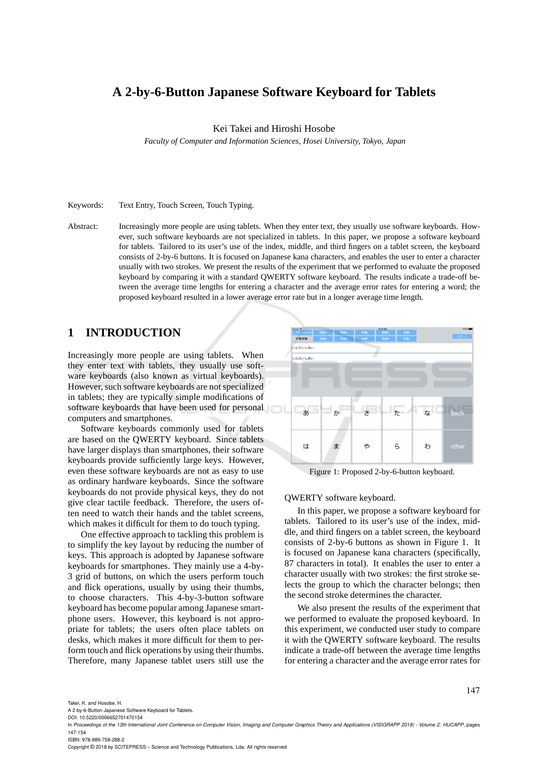# **A 2-by-6-Button Japanese Software Keyboard for Tablets**

Kei Takei and Hiroshi Hosobe

*Faculty of Computer and Information Sciences, Hosei University, Tokyo, Japan*

Keywords: Text Entry, Touch Screen, Touch Typing.

Abstract: Increasingly more people are using tablets. When they enter text, they usually use software keyboards. However, such software keyboards are not specialized in tablets. In this paper, we propose a software keyboard for tablets. Tailored to its user's use of the index, middle, and third fingers on a tablet screen, the keyboard consists of 2-by-6 buttons. It is focused on Japanese kana characters, and enables the user to enter a character usually with two strokes. We present the results of the experiment that we performed to evaluate the proposed keyboard by comparing it with a standard QWERTY software keyboard. The results indicate a trade-off between the average time lengths for entering a character and the average error rates for entering a word; the proposed keyboard resulted in a lower average error rate but in a longer average time length.

## **1 INTRODUCTION**

Increasingly more people are using tablets. When they enter text with tablets, they usually use software keyboards (also known as virtual keyboards). However, such software keyboards are not specialized in tablets; they are typically simple modifications of software keyboards that have been used for personal computers and smartphones.

Software keyboards commonly used for tablets are based on the QWERTY keyboard. Since tablets have larger displays than smartphones, their software keyboards provide sufficiently large keys. However, even these software keyboards are not as easy to use as ordinary hardware keyboards. Since the software keyboards do not provide physical keys, they do not give clear tactile feedback. Therefore, the users often need to watch their hands and the tablet screens, which makes it difficult for them to do touch typing.

One effective approach to tackling this problem is to simplify the key layout by reducing the number of keys. This approach is adopted by Japanese software keyboards for smartphones. They mainly use a 4-by-3 grid of buttons, on which the users perform touch and flick operations, usually by using their thumbs, to choose characters. This 4-by-3-button software keyboard has become popular among Japanese smartphone users. However, this keyboard is not appropriate for tablets; the users often place tablets on desks, which makes it more difficult for them to perform touch and flick operations by using their thumbs. Therefore, many Japanese tablet users still use the



Figure 1: Proposed 2-by-6-button keyboard.

QWERTY software keyboard.

In this paper, we propose a software keyboard for tablets. Tailored to its user's use of the index, middle, and third fingers on a tablet screen, the keyboard consists of 2-by-6 buttons as shown in Figure 1. It is focused on Japanese kana characters (specifically, 87 characters in total). It enables the user to enter a character usually with two strokes: the first stroke selects the group to which the character belongs; then the second stroke determines the character.

We also present the results of the experiment that we performed to evaluate the proposed keyboard. In this experiment, we conducted user study to compare it with the QWERTY software keyboard. The results indicate a trade-off between the average time lengths for entering a character and the average error rates for

Takei, K. and Hosobe, H.

A 2-by-6-Button Japanese Software Keyboard for Tablets.

DOI: 10.5220/0006652701470154

ISBN: 978-989-758-288-2

Copyright © 2018 by SCITEPRESS – Science and Technology Publications, Lda. All rights reserved

In *Proceedings of the 13th International Joint Conference on Computer Vision, Imaging and Computer Graphics Theory and Applications (VISIGRAPP 2018) - Volume 2: HUCAPP*, pages 147-154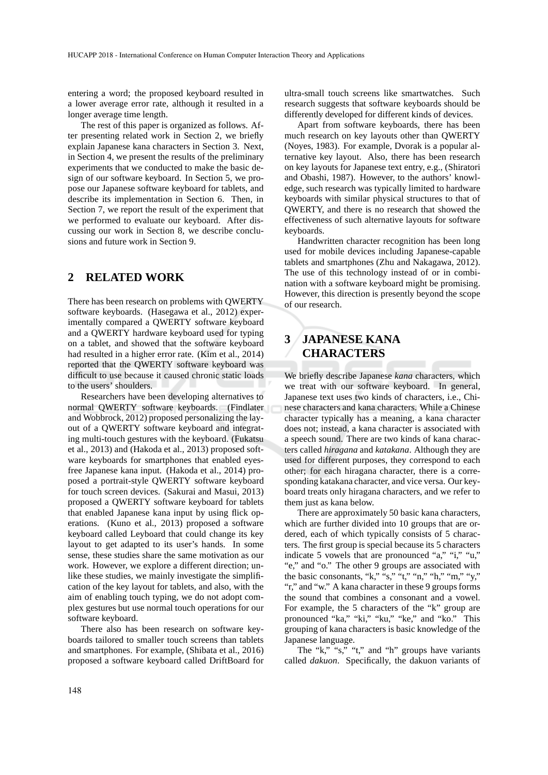entering a word; the proposed keyboard resulted in a lower average error rate, although it resulted in a longer average time length.

The rest of this paper is organized as follows. After presenting related work in Section 2, we briefly explain Japanese kana characters in Section 3. Next, in Section 4, we present the results of the preliminary experiments that we conducted to make the basic design of our software keyboard. In Section 5, we propose our Japanese software keyboard for tablets, and describe its implementation in Section 6. Then, in Section 7, we report the result of the experiment that we performed to evaluate our keyboard. After discussing our work in Section 8, we describe conclusions and future work in Section 9.

## **2 RELATED WORK**

There has been research on problems with QWERTY software keyboards. (Hasegawa et al., 2012) experimentally compared a QWERTY software keyboard and a QWERTY hardware keyboard used for typing on a tablet, and showed that the software keyboard had resulted in a higher error rate. (Kim et al., 2014) reported that the QWERTY software keyboard was difficult to use because it caused chronic static loads to the users' shoulders.

Researchers have been developing alternatives to normal QWERTY software keyboards. (Findlater and Wobbrock, 2012) proposed personalizing the layout of a QWERTY software keyboard and integrating multi-touch gestures with the keyboard. (Fukatsu et al., 2013) and (Hakoda et al., 2013) proposed software keyboards for smartphones that enabled eyesfree Japanese kana input. (Hakoda et al., 2014) proposed a portrait-style QWERTY software keyboard for touch screen devices. (Sakurai and Masui, 2013) proposed a QWERTY software keyboard for tablets that enabled Japanese kana input by using flick operations. (Kuno et al., 2013) proposed a software keyboard called Leyboard that could change its key layout to get adapted to its user's hands. In some sense, these studies share the same motivation as our work. However, we explore a different direction; unlike these studies, we mainly investigate the simplification of the key layout for tablets, and also, with the aim of enabling touch typing, we do not adopt complex gestures but use normal touch operations for our software keyboard.

There also has been research on software keyboards tailored to smaller touch screens than tablets and smartphones. For example, (Shibata et al., 2016) proposed a software keyboard called DriftBoard for ultra-small touch screens like smartwatches. Such research suggests that software keyboards should be differently developed for different kinds of devices.

Apart from software keyboards, there has been much research on key layouts other than QWERTY (Noyes, 1983). For example, Dvorak is a popular alternative key layout. Also, there has been research on key layouts for Japanese text entry, e.g., (Shiratori and Obashi, 1987). However, to the authors' knowledge, such research was typically limited to hardware keyboards with similar physical structures to that of QWERTY, and there is no research that showed the effectiveness of such alternative layouts for software keyboards.

Handwritten character recognition has been long used for mobile devices including Japanese-capable tablets and smartphones (Zhu and Nakagawa, 2012). The use of this technology instead of or in combination with a software keyboard might be promising. However, this direction is presently beyond the scope of our research.

# **3 JAPANESE KANA CHARACTERS**

We briefly describe Japanese *kana* characters, which we treat with our software keyboard. In general, Japanese text uses two kinds of characters, i.e., Chinese characters and kana characters. While a Chinese character typically has a meaning, a kana character does not; instead, a kana character is associated with a speech sound. There are two kinds of kana characters called *hiragana* and *katakana*. Although they are used for different purposes, they correspond to each other; for each hiragana character, there is a corresponding katakana character, and vice versa. Our keyboard treats only hiragana characters, and we refer to them just as kana below.

There are approximately 50 basic kana characters, which are further divided into 10 groups that are ordered, each of which typically consists of 5 characters. The first group is special because its 5 characters indicate 5 vowels that are pronounced "a," "i," "u," "e," and "o." The other 9 groups are associated with the basic consonants, "k," "s," "t," "n," "h," "m," "y," "r," and "w." A kana character in these 9 groups forms the sound that combines a consonant and a vowel. For example, the 5 characters of the "k" group are pronounced "ka," "ki," "ku," "ke," and "ko." This grouping of kana characters is basic knowledge of the Japanese language.

The "k," "s," "t," and "h" groups have variants called *dakuon*. Specifically, the dakuon variants of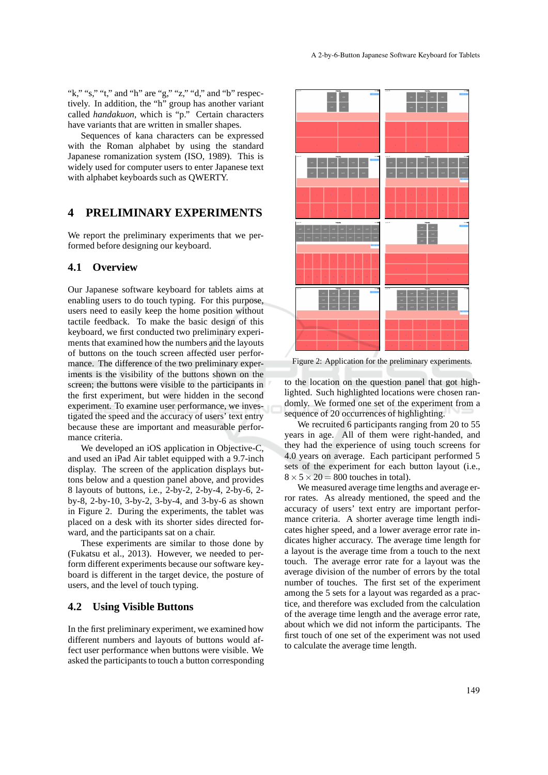"k," "s," "t," and "h" are "g," "z," "d," and "b" respectively. In addition, the "h" group has another variant called *handakuon*, which is "p." Certain characters have variants that are written in smaller shapes.

Sequences of kana characters can be expressed with the Roman alphabet by using the standard Japanese romanization system (ISO, 1989). This is widely used for computer users to enter Japanese text with alphabet keyboards such as QWERTY.

## **4 PRELIMINARY EXPERIMENTS**

We report the preliminary experiments that we performed before designing our keyboard.

#### **4.1 Overview**

Our Japanese software keyboard for tablets aims at enabling users to do touch typing. For this purpose, users need to easily keep the home position without tactile feedback. To make the basic design of this keyboard, we first conducted two preliminary experiments that examined how the numbers and the layouts of buttons on the touch screen affected user performance. The difference of the two preliminary experiments is the visibility of the buttons shown on the screen; the buttons were visible to the participants in the first experiment, but were hidden in the second experiment. To examine user performance, we investigated the speed and the accuracy of users' text entry because these are important and measurable performance criteria.

We developed an iOS application in Objective-C, and used an iPad Air tablet equipped with a 9.7-inch display. The screen of the application displays buttons below and a question panel above, and provides 8 layouts of buttons, i.e., 2-by-2, 2-by-4, 2-by-6, 2 by-8, 2-by-10, 3-by-2, 3-by-4, and 3-by-6 as shown in Figure 2. During the experiments, the tablet was placed on a desk with its shorter sides directed forward, and the participants sat on a chair.

These experiments are similar to those done by (Fukatsu et al., 2013). However, we needed to perform different experiments because our software keyboard is different in the target device, the posture of users, and the level of touch typing.

#### **4.2 Using Visible Buttons**

In the first preliminary experiment, we examined how different numbers and layouts of buttons would affect user performance when buttons were visible. We asked the participants to touch a button corresponding



Figure 2: Application for the preliminary experiments.

to the location on the question panel that got highlighted. Such highlighted locations were chosen randomly. We formed one set of the experiment from a sequence of 20 occurrences of highlighting.

We recruited 6 participants ranging from 20 to 55 years in age. All of them were right-handed, and they had the experience of using touch screens for 4.0 years on average. Each participant performed 5 sets of the experiment for each button layout (i.e.,  $8 \times 5 \times 20 = 800$  touches in total).

We measured average time lengths and average error rates. As already mentioned, the speed and the accuracy of users' text entry are important performance criteria. A shorter average time length indicates higher speed, and a lower average error rate indicates higher accuracy. The average time length for a layout is the average time from a touch to the next touch. The average error rate for a layout was the average division of the number of errors by the total number of touches. The first set of the experiment among the 5 sets for a layout was regarded as a practice, and therefore was excluded from the calculation of the average time length and the average error rate, about which we did not inform the participants. The first touch of one set of the experiment was not used to calculate the average time length.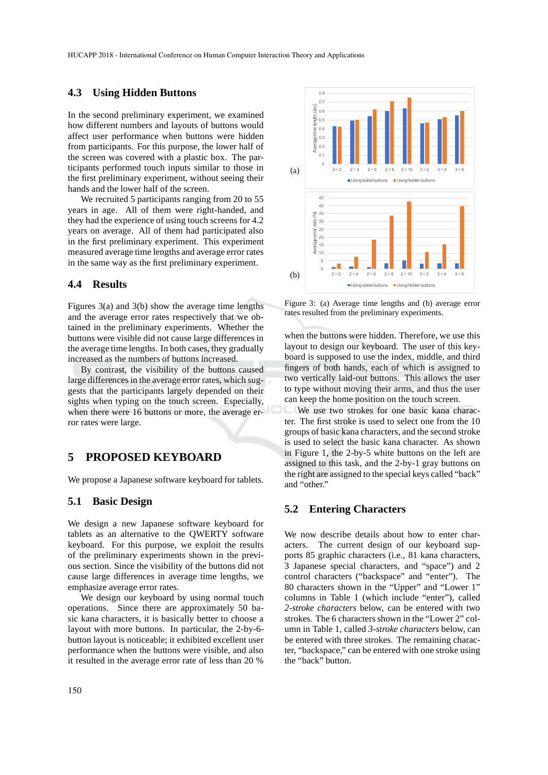#### **4.3 Using Hidden Buttons**

In the second preliminary experiment, we examined how different numbers and layouts of buttons would affect user performance when buttons were hidden from participants. For this purpose, the lower half of the screen was covered with a plastic box. The participants performed touch inputs similar to those in the first preliminary experiment, without seeing their hands and the lower half of the screen.

We recruited 5 participants ranging from 20 to 55 years in age. All of them were right-handed, and they had the experience of using touch screens for 4.2 years on average. All of them had participated also in the first preliminary experiment. This experiment measured average time lengths and average error rates in the same way as the first preliminary experiment.

#### **4.4 Results**

Figures 3(a) and 3(b) show the average time lengths and the average error rates respectively that we obtained in the preliminary experiments. Whether the buttons were visible did not cause large differences in the average time lengths. In both cases, they gradually increased as the numbers of buttons increased.

By contrast, the visibility of the buttons caused large differences in the average error rates, which suggests that the participants largely depended on their sights when typing on the touch screen. Especially, when there were 16 buttons or more, the average error rates were large.

## **5 PROPOSED KEYBOARD**

We propose a Japanese software keyboard for tablets.

### **5.1 Basic Design**

We design a new Japanese software keyboard for tablets as an alternative to the QWERTY software keyboard. For this purpose, we exploit the results of the preliminary experiments shown in the previous section. Since the visibility of the buttons did not cause large differences in average time lengths, we emphasize average error rates.

We design our keyboard by using normal touch operations. Since there are approximately 50 basic kana characters, it is basically better to choose a layout with more buttons. In particular, the 2-by-6 button layout is noticeable; it exhibited excellent user performance when the buttons were visible, and also it resulted in the average error rate of less than 20 %



Figure 3: (a) Average time lengths and (b) average error rates resulted from the preliminary experiments.

when the buttons were hidden. Therefore, we use this layout to design our keyboard. The user of this keyboard is supposed to use the index, middle, and third fingers of both hands, each of which is assigned to two vertically laid-out buttons. This allows the user to type without moving their arms, and thus the user can keep the home position on the touch screen.

We use two strokes for one basic kana character. The first stroke is used to select one from the 10 groups of basic kana characters, and the second stroke is used to select the basic kana character. As shown in Figure 1, the 2-by-5 white buttons on the left are assigned to this task, and the 2-by-1 gray buttons on the right are assigned to the special keys called "back" and "other."

#### **5.2 Entering Characters**

We now describe details about how to enter characters. The current design of our keyboard supports 85 graphic characters (i.e., 81 kana characters, 3 Japanese special characters, and "space") and 2 control characters ("backspace" and "enter"). The 80 characters shown in the "Upper" and "Lower 1" columns in Table 1 (which include "enter"), called *2-stroke characters* below, can be entered with two strokes. The 6 characters shown in the "Lower 2" column in Table 1, called *3-stroke characters* below, can be entered with three strokes. The remaining character, "backspace," can be entered with one stroke using the "back" button.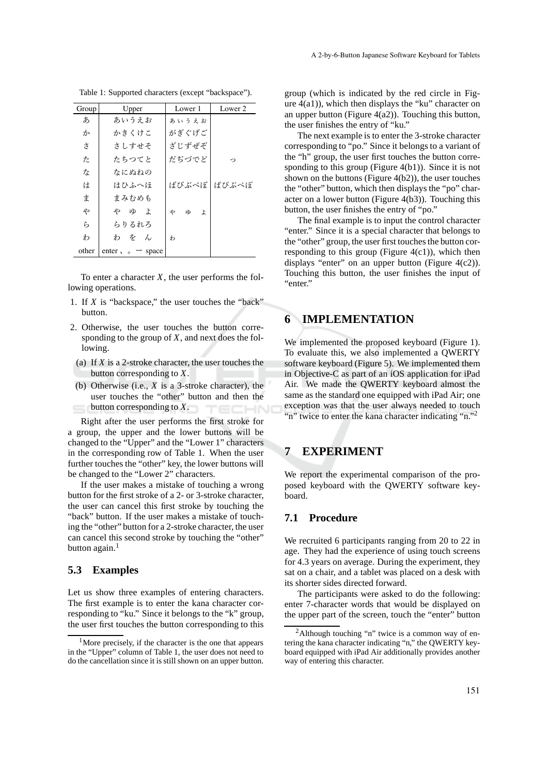| Group | Upper                  | Lower 1      | Lower 2 |
|-------|------------------------|--------------|---------|
| あ     | あいうえお                  | あいうえお        |         |
| か     | かきくけこ                  | がぎぐげご        |         |
| さ     | さしすせそ                  | ざじずぜぞ        |         |
| た     | たちつてと                  | だぢづでど        | ∽       |
| な     | なにぬねの                  |              |         |
| は     | はひふへほ                  | ばびぶべぼ        | ぱぴぷぺぽ   |
| ま     | まみむめも                  |              |         |
| ゃ     | や ゆ よ                  | Þ<br>ИD<br>よ |         |
| ら     | らりるれろ                  |              |         |
| わ     | わをん                    | ゎ            |         |
| other | enter, $\circ$ - space |              |         |

Table 1: Supported characters (except "backspace").

To enter a character  $X$ , the user performs the following operations.

- 1. If *X* is "backspace," the user touches the "back" button.
- 2. Otherwise, the user touches the button corresponding to the group of *X*, and next does the following.
	- (a) If *X* is a 2-stroke character, the user touches the button corresponding to *X*.
- (b) Otherwise (i.e., *X* is a 3-stroke character), the user touches the "other" button and then the button corresponding to *X*.

Right after the user performs the first stroke for a group, the upper and the lower buttons will be changed to the "Upper" and the "Lower 1" characters in the corresponding row of Table 1. When the user further touches the "other" key, the lower buttons will be changed to the "Lower 2" characters.

If the user makes a mistake of touching a wrong button for the first stroke of a 2- or 3-stroke character, the user can cancel this first stroke by touching the "back" button. If the user makes a mistake of touching the "other" button for a 2-stroke character, the user can cancel this second stroke by touching the "other" button again. $<sup>1</sup>$ </sup>

#### **5.3 Examples**

Let us show three examples of entering characters. The first example is to enter the kana character corresponding to "ku." Since it belongs to the "k" group, the user first touches the button corresponding to this

group (which is indicated by the red circle in Figure  $4(a1)$ ), which then displays the "ku" character on an upper button (Figure 4(a2)). Touching this button, the user finishes the entry of "ku."

The next example is to enter the 3-stroke character corresponding to "po." Since it belongs to a variant of the "h" group, the user first touches the button corresponding to this group (Figure 4(b1)). Since it is not shown on the buttons (Figure  $4(b2)$ ), the user touches the "other" button, which then displays the "po" character on a lower button (Figure 4(b3)). Touching this button, the user finishes the entry of "po."

The final example is to input the control character "enter." Since it is a special character that belongs to the "other" group, the user first touches the button corresponding to this group (Figure  $4(c1)$ ), which then displays "enter" on an upper button (Figure  $4(c2)$ ). Touching this button, the user finishes the input of "enter."

## **6 IMPLEMENTATION**

We implemented the proposed keyboard (Figure 1). To evaluate this, we also implemented a QWERTY software keyboard (Figure 5). We implemented them in Objective-C as part of an iOS application for iPad Air. We made the QWERTY keyboard almost the same as the standard one equipped with iPad Air; one exception was that the user always needed to touch "n" twice to enter the kana character indicating "n."<sup>2</sup>

## **7 EXPERIMENT**

We report the experimental comparison of the proposed keyboard with the QWERTY software keyboard.

### **7.1 Procedure**

We recruited 6 participants ranging from 20 to 22 in age. They had the experience of using touch screens for 4.3 years on average. During the experiment, they sat on a chair, and a tablet was placed on a desk with its shorter sides directed forward.

The participants were asked to do the following: enter 7-character words that would be displayed on the upper part of the screen, touch the "enter" button

<sup>&</sup>lt;sup>1</sup>More precisely, if the character is the one that appears in the "Upper" column of Table 1, the user does not need to do the cancellation since it is still shown on an upper button.

<sup>2</sup>Although touching "n" twice is a common way of entering the kana character indicating "n," the QWERTY keyboard equipped with iPad Air additionally provides another way of entering this character.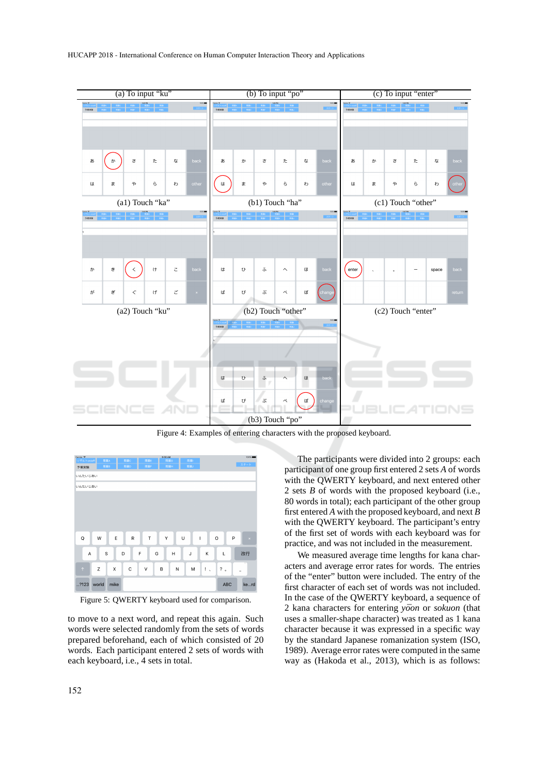

Figure 4: Examples of entering characters with the proposed keyboard.



Figure 5: QWERTY keyboard used for comparison.

to move to a next word, and repeat this again. Such words were selected randomly from the sets of words prepared beforehand, each of which consisted of 20 words. Each participant entered 2 sets of words with each keyboard, i.e., 4 sets in total.

The participants were divided into 2 groups: each participant of one group first entered 2 sets *A* of words with the QWERTY keyboard, and next entered other 2 sets *B* of words with the proposed keyboard (i.e., 80 words in total); each participant of the other group first entered *A* with the proposed keyboard, and next *B* with the QWERTY keyboard. The participant's entry of the first set of words with each keyboard was for practice, and was not included in the measurement.

We measured average time lengths for kana characters and average error rates for words. The entries of the "enter" button were included. The entry of the first character of each set of words was not included. In the case of the QWERTY keyboard, a sequence of 2 kana characters for entering *yoon* or *sokuon* (that uses a smaller-shape character) was treated as 1 kana character because it was expressed in a specific way by the standard Japanese romanization system (ISO, 1989). Average error rates were computed in the same way as (Hakoda et al., 2013), which is as follows: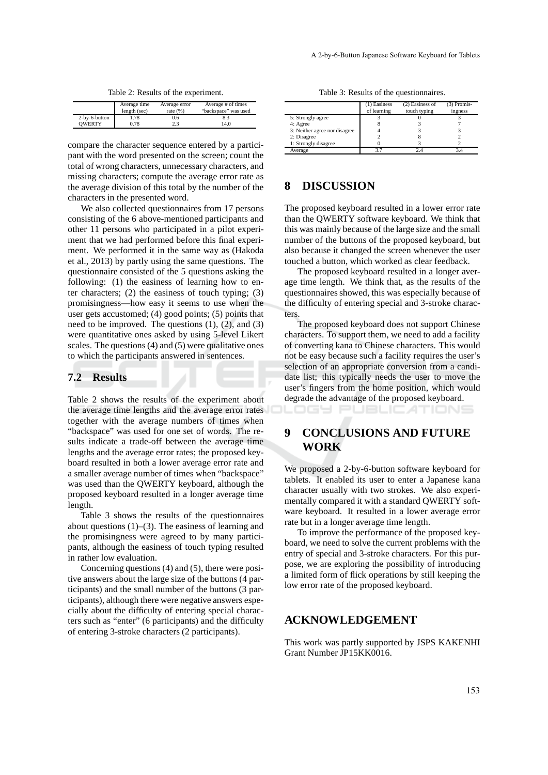Table 2: Results of the experiment.

|               | Average time | Average error | Average # of times   |
|---------------|--------------|---------------|----------------------|
|               | length (sec) | rate $(% )$   | "backspace" was used |
| 2-by-6-button | 1.78         | 0.6           | 8.3                  |
| <b>OWERTY</b> | 0.78         | 2.3           | 14.0                 |

compare the character sequence entered by a participant with the word presented on the screen; count the total of wrong characters, unnecessary characters, and missing characters; compute the average error rate as the average division of this total by the number of the characters in the presented word.

We also collected questionnaires from 17 persons consisting of the 6 above-mentioned participants and other 11 persons who participated in a pilot experiment that we had performed before this final experiment. We performed it in the same way as (Hakoda et al., 2013) by partly using the same questions. The questionnaire consisted of the 5 questions asking the following: (1) the easiness of learning how to enter characters; (2) the easiness of touch typing; (3) promisingness—how easy it seems to use when the user gets accustomed; (4) good points; (5) points that need to be improved. The questions  $(1)$ ,  $(2)$ , and  $(3)$ were quantitative ones asked by using 5-level Likert scales. The questions (4) and (5) were qualitative ones to which the participants answered in sentences.

#### **7.2 Results**

Table 2 shows the results of the experiment about the average time lengths and the average error rates together with the average numbers of times when "backspace" was used for one set of words. The results indicate a trade-off between the average time lengths and the average error rates; the proposed keyboard resulted in both a lower average error rate and a smaller average number of times when "backspace" was used than the QWERTY keyboard, although the proposed keyboard resulted in a longer average time length.

Table 3 shows the results of the questionnaires about questions  $(1)$ – $(3)$ . The easiness of learning and the promisingness were agreed to by many participants, although the easiness of touch typing resulted in rather low evaluation.

Concerning questions (4) and (5), there were positive answers about the large size of the buttons (4 participants) and the small number of the buttons (3 participants), although there were negative answers especially about the difficulty of entering special characters such as "enter" (6 participants) and the difficulty of entering 3-stroke characters (2 participants).

|                               | (1) Easiness<br>of learning | $(2)$ Easiness of<br>touch typing | $(3)$ Promis-<br>ingness |
|-------------------------------|-----------------------------|-----------------------------------|--------------------------|
| 5: Strongly agree             |                             |                                   |                          |
| 4: Agree                      | δ                           |                                   |                          |
| 3: Neither agree nor disagree |                             |                                   |                          |
| 2: Disagree                   |                             |                                   |                          |
| 1: Strongly disagree          |                             |                                   |                          |
| Average                       |                             |                                   |                          |

### **8 DISCUSSION**

The proposed keyboard resulted in a lower error rate than the QWERTY software keyboard. We think that this was mainly because of the large size and the small number of the buttons of the proposed keyboard, but also because it changed the screen whenever the user touched a button, which worked as clear feedback.

The proposed keyboard resulted in a longer average time length. We think that, as the results of the questionnaires showed, this was especially because of the difficulty of entering special and 3-stroke characters.

The proposed keyboard does not support Chinese characters. To support them, we need to add a facility of converting kana to Chinese characters. This would not be easy because such a facility requires the user's selection of an appropriate conversion from a candidate list; this typically needs the user to move the user's fingers from the home position, which would degrade the advantage of the proposed keyboard.

LOGY PUBLICA TIONS

# **9 CONCLUSIONS AND FUTURE WORK**

We proposed a 2-by-6-button software keyboard for tablets. It enabled its user to enter a Japanese kana character usually with two strokes. We also experimentally compared it with a standard QWERTY software keyboard. It resulted in a lower average error rate but in a longer average time length.

To improve the performance of the proposed keyboard, we need to solve the current problems with the entry of special and 3-stroke characters. For this purpose, we are exploring the possibility of introducing a limited form of flick operations by still keeping the low error rate of the proposed keyboard.

### **ACKNOWLEDGEMENT**

This work was partly supported by JSPS KAKENHI Grant Number JP15KK0016.